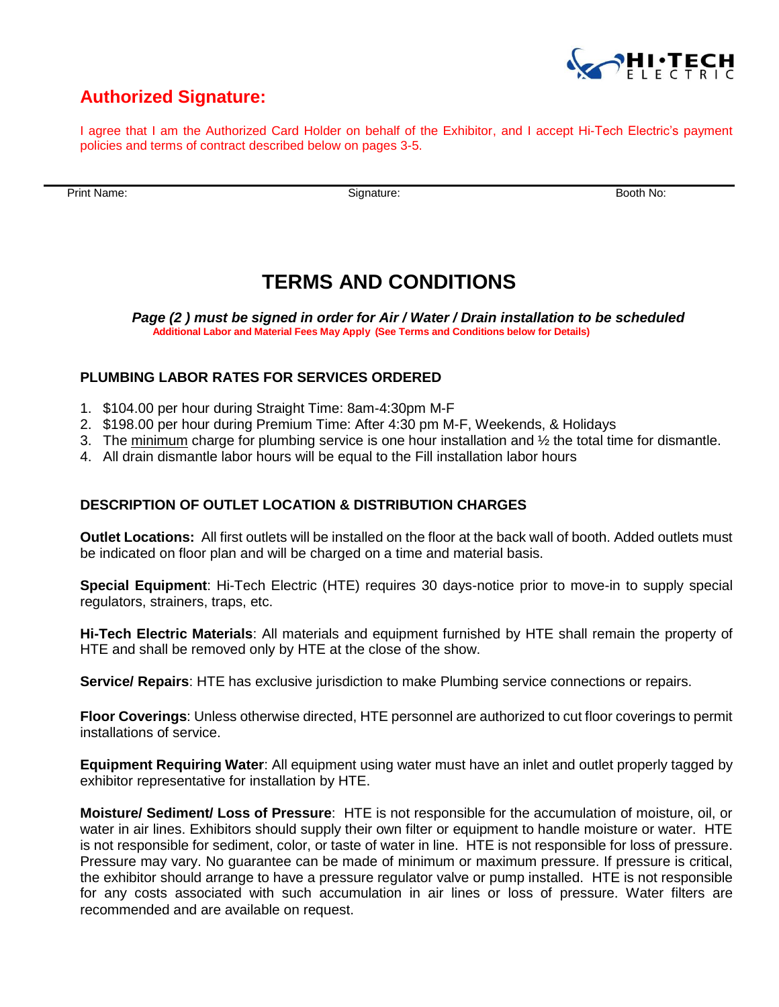

## **Authorized Signature:**

I agree that I am the Authorized Card Holder on behalf of the Exhibitor, and I accept Hi-Tech Electric's payment policies and terms of contract described below on pages 3-5.

Print Name:Signature: Booth No:

# **TERMS AND CONDITIONS**

 *Page (2 ) must be signed in order for Air / Water / Drain installation to be scheduled*  **Additional Labor and Material Fees May Apply (See Terms and Conditions below for Details)**

### **PLUMBING LABOR RATES FOR SERVICES ORDERED**

- 1. \$104.00 per hour during Straight Time: 8am-4:30pm M-F
- 2. \$198.00 per hour during Premium Time: After 4:30 pm M-F, Weekends, & Holidays
- 3. The minimum charge for plumbing service is one hour installation and  $\frac{1}{2}$  the total time for dismantle.
- 4. All drain dismantle labor hours will be equal to the Fill installation labor hours

#### **DESCRIPTION OF OUTLET LOCATION & DISTRIBUTION CHARGES**

**Outlet Locations:** All first outlets will be installed on the floor at the back wall of booth. Added outlets must be indicated on floor plan and will be charged on a time and material basis.

**Special Equipment**: Hi-Tech Electric (HTE) requires 30 days-notice prior to move-in to supply special regulators, strainers, traps, etc.

**Hi-Tech Electric Materials**: All materials and equipment furnished by HTE shall remain the property of HTE and shall be removed only by HTE at the close of the show.

**Service/ Repairs**: HTE has exclusive jurisdiction to make Plumbing service connections or repairs.

**Floor Coverings**: Unless otherwise directed, HTE personnel are authorized to cut floor coverings to permit installations of service.

**Equipment Requiring Water**: All equipment using water must have an inlet and outlet properly tagged by exhibitor representative for installation by HTE.

**Moisture/ Sediment/ Loss of Pressure**: HTE is not responsible for the accumulation of moisture, oil, or water in air lines. Exhibitors should supply their own filter or equipment to handle moisture or water. HTE is not responsible for sediment, color, or taste of water in line. HTE is not responsible for loss of pressure. Pressure may vary. No guarantee can be made of minimum or maximum pressure. If pressure is critical, the exhibitor should arrange to have a pressure regulator valve or pump installed. HTE is not responsible for any costs associated with such accumulation in air lines or loss of pressure. Water filters are recommended and are available on request.